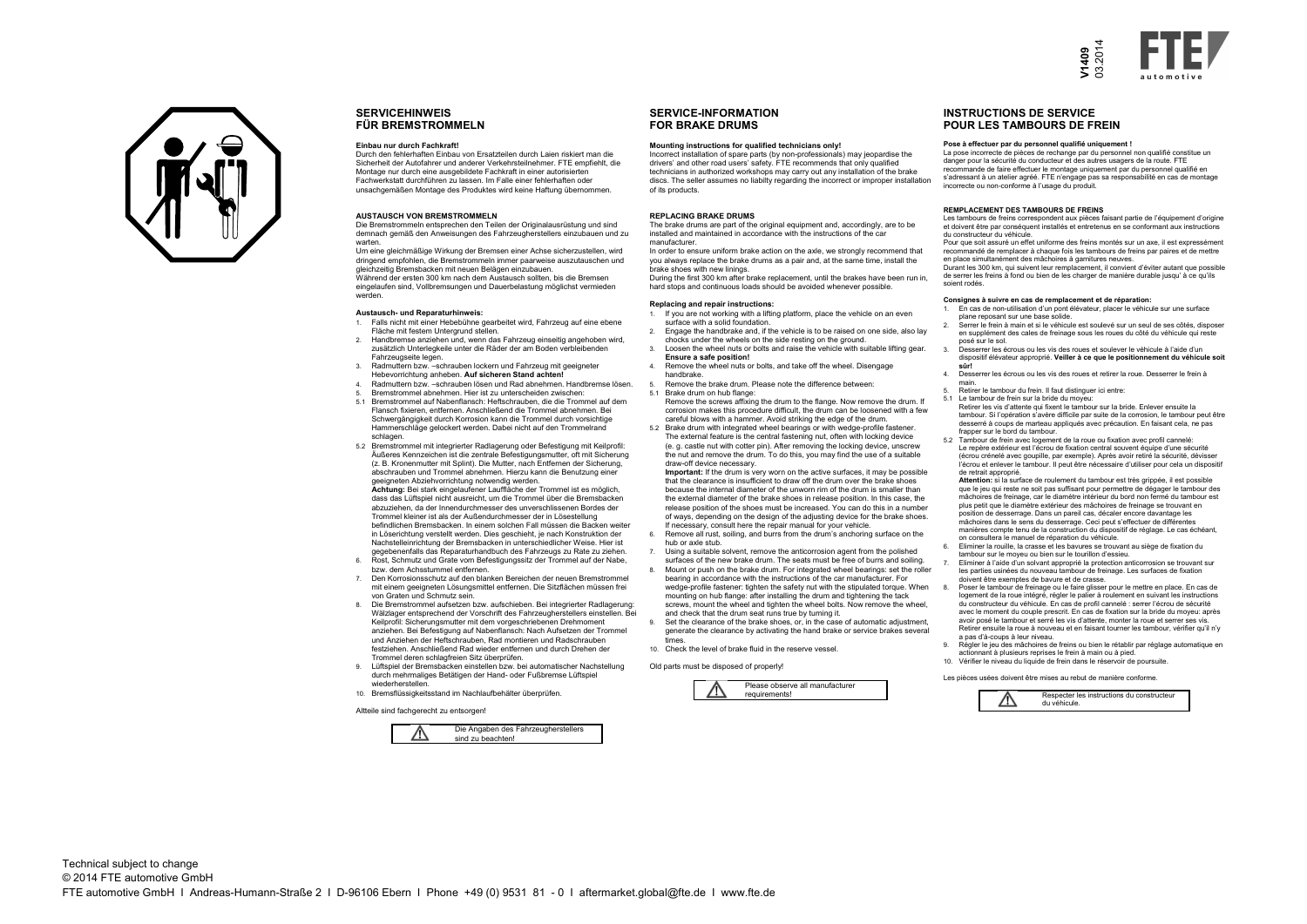

- 
- 
- 
- 
- -
	-
- 





# **SERVICEHINWEISFÜR BREMSTROMMELN**

### **Einbau nur durch Fachkraft!**

 Die Bremstrommeln entsprechen den Teilen der Originalausrüstung und sind demnach gemäß den Anweisungen des Fahrzeugherstellers einzubauen und zu warten

 Durch den fehlerhaften Einbau von Ersatzteilen durch Laien riskiert man die Sicherheit der Autofahrer und anderer Verkehrsteilnehmer. FTE empfiehlt, die Montage nur durch eine ausgebildete Fachkraft in einer autorisierten Fachwerkstatt durchführen zu lassen. Im Falle einer fehlerhaften oder unsachgemäßen Montage des Produktes wird keine Haftung übernommen.

## **AUSTAUSCH VON BREMSTROMMELN**

 Um eine gleichmäßige Wirkung der Bremsen einer Achse sicherzustellen, wird dringend empfohlen, die Bremstrommeln immer paarweise auszutauschen und gleichzeitig Bremsbacken mit neuen Belägen einzubauen. Während der ersten 300 km nach dem Austausch sollten, bis die Bremsen eingelaufen sind, Vollbremsungen und Dauerbelastung möglichst vermieden werden.

## **Austausch- und Reparaturhinweis:**

- 1. Falls nicht mit einer Hebebühne gearbeitet wird, Fahrzeug auf eine ebene Fläche mit festem Untergrund stellen. 2. Handbremse anziehen und, wenn das Fahrzeug einseitig angehoben wird,
- zusätzlich Unterlegkeile unter die Räder der am Boden verbleibenden Fahrzeugseite legen.
- 3. Radmuttern bzw. –schrauben lockern und Fahrzeug mit geeigneter Hebevorrichtung anheben. **Auf sicheren Stand achten!**
- 4. Radmuttern bzw. –schrauben lösen und Rad abnehmen. Handbremse lösen.
- 5. Bremstrommel abnehmen. Hier ist zu unterscheiden zwischen:
- 5.1 Bremstrommel auf Nabenflansch: Heftschrauben, die die Trommel auf dem Flansch fixieren, entfernen. Anschließend die Trommel abnehmen. Bei Schwergängigkeit durch Korrosion kann die Trommel durch vorsichtige Hammerschläge gelockert werden. Dabei nicht auf den Trommelrand schlagen.
- 5.2 Bremstrommel mit integrierter Radlagerung oder Befestigung mit Keilprofil: Äußeres Kennzeichen ist die zentrale Befestigungsmutter, oft mit Sicherung (z. B. Kronenmutter mit Splint). Die Mutter, nach Entfernen der Sicherung, abschrauben und Trommel abnehmen. Hierzu kann die Benutzung einer geeigneten Abziehvorrichtung notwendig werden. **Achtung:** Bei stark eingelaufener Lauffläche der Trommel ist es möglich, dass das Lüftspiel nicht ausreicht, um die Trommel über die Bremsbacken abzuziehen, da der Innendurchmesser des unverschlissenen Bordes der Trommel kleiner ist als der Außendurchmesser der in Lösestellung befindlichen Bremsbacken. In einem solchen Fall müssen die Backen weiter in Löserichtung verstellt werden. Dies geschieht, je nach Konstruktion der Nachstelleinrichtung der Bremsbacken in unterschiedlicher Weise. Hier ist gegebenenfalls das Reparaturhandbuch des Fahrzeugs zu Rate zu ziehen. 6. Rost, Schmutz und Grate vom Befestigungssitz der Trommel auf der Nabe,
- bzw. dem Achsstummel entfernen. 7. Den Korrosionsschutz auf den blanken Bereichen der neuen Bremstrommel
- mit einem geeigneten Lösungsmittel entfernen. Die Sitzflächen müssen frei von Graten und Schmutz sein. 8. Die Bremstrommel aufsetzen bzw. aufschieben. Bei integrierter Radlagerung:
- Wälzlager entsprechend der Vorschrift des Fahrzeugherstellers einstellen. Bei Keilprofil: Sicherungsmutter mit dem vorgeschriebenen Drehmoment anziehen. Bei Befestigung auf Nabenflansch: Nach Aufsetzen der Trommel und Anziehen der Heftschrauben, Rad montieren und Radschrauben festziehen. Anschließend Rad wieder entfernen und durch Drehen der Trommel deren schlagfreien Sitz überprüfen.
- 9. Lüftspiel der Bremsbacken einstellen bzw. bei automatischer Nachstellung durch mehrmaliges Betätigen der Hand- oder Fußbremse Lüftspiel wiederherstellen.
- 10. Bremsflüssigkeitsstand im Nachlaufbehälter überprüfen.

Altteile sind fachgerecht zu entsorgen!



# **SERVICE-INFORMATIONFOR BRAKE DRUMS**

## **Mounting instructions for qualified technicians only!**

 Incorrect installation of spare parts (by non-professionals) may jeopardise the drivers' and other road users' safety. FTE recommends that only qualified technicians in authorized workshops may carry out any installation of the brake discs. The seller assumes no liabilty regarding the incorrect or improper installation of its products.

### **REPLACING BRAKE DRUMS**

 The brake drums are part of the original equipment and, accordingly, are to be installed and maintained in accordance with the instructions of the ca manufacturer.

 In order to ensure uniform brake action on the axle, we strongly recommend that you always replace the brake drums as a pair and, at the same time, install the brake shoes with new linings.

 During the first 300 km after brake replacement, until the brakes have been run in, hard stops and continuous loads should be avoided whenever possible.

## **Replacing and repair instructions:**

- 1. If you are not working with a lifting platform, place the vehicle on an even surface with a solid foundation.
- 2. Engage the handbrake and, if the vehicle is to be raised on one side, also lay
- chocks under the wheels on the side resting on the ground. 3. Loosen the wheel nuts or bolts and raise the vehicle with suitable lifting gear.
- **Ensure a safe position!**4. Remove the wheel nuts or bolts, and take off the wheel. Disengage
- handbrake.
- 5. Remove the brake drum. Please note the difference between:
	- 5.1 Brake drum on hub flange: Remove the screws affixing the drum to the flange. Now remove the drum. If corrosion makes this procedure difficult, the drum can be loosened with a few careful blows with a hammer. Avoid striking the edge of the drum.
	- 5.2 Brake drum with integrated wheel bearings or with wedge-profile fastener. The external feature is the central fastening nut, often with locking device (e. g. castle nut with cotter pin). After removing the locking device, unscrew the nut and remove the drum. To do this, you may find the use of a suitable draw-off device necessary.

 **Important:** If the drum is very worn on the active surfaces, it may be possible that the clearance is insufficient to draw off the drum over the brake shoes because the internal diameter of the unworn rim of the drum is smaller than the external diameter of the brake shoes in release position. In this case, the release position of the shoes must be increased. You can do this in a number of ways, depending on the design of the adjusting device for the brake shoes. If necessary, consult here the repair manual for your vehicle.

- 6. Remove all rust, soiling, and burrs from the drum's anchoring surface on the hub or axle stub.
- 7. Using a suitable solvent, remove the anticorrosion agent from the polished surfaces of the new brake drum. The seats must be free of burrs and soiling.
- 8. Mount or push on the brake drum. For integrated wheel bearings: set the roller bearing in accordance with the instructions of the car manufacturer. For wedge-profile fastener: tighten the safety nut with the stipulated torque. When mounting on hub flange: after installing the drum and tightening the tack screws, mount the wheel and tighten the wheel bolts. Now remove the wheel, and check that the drum seat runs true by turning it.
- 9. Set the clearance of the brake shoes, or, in the case of automatic adjustment, generate the clearance by activating the hand brake or service brakes several times.

10. Check the level of brake fluid in the reserve vessel.

Old parts must be disposed of properly!



# **INSTRUCTIONS DE SERVICEPOUR LES TAMBOURS DE FREIN**

## **Pose à effectuer par du personnel qualifié uniquement !**

 La pose incorrecte de pièces de rechange par du personnel non qualifié constitue un danger pour la sécurité du conducteur et des autres usagers de la route. FTE

 recommande de faire effectuer le montage uniquement par du personnel qualifié en s'adressant à un atelier agréé. FTE n'engage pas sa responsabilité en cas de montage incorrecte ou non-conforme à l'usage du produit.

## **REMPLACEMENT DES TAMBOURS DE FREINS**

 Les tambours de freins correspondent aux pièces faisant partie de l'équipement d'origine et doivent être par conséquent installés et entretenus en se conformant aux instructions du constructeur du véhicule.

 Pour que soit assuré un effet uniforme des freins montés sur un axe, il est expressément recommandé de remplacer à chaque fois les tambours de freins par paires et de mettre en place simultanément des mâchoires à garnitures neuves.

 Durant les 300 km, qui suivent leur remplacement, il convient d'éviter autant que possible de serrer les freins à fond ou bien de les charger de manière durable jusqu' à ce qu'ils

soient rodés.

## **Consignes à suivre en cas de remplacement et de réparation:**

 1. En cas de non-utilisation d'un pont élévateur, placer le véhicule sur une surface plane reposant sur une base solide.

 2. Serrer le frein à main et si le véhicule est soulevé sur un seul de ses côtés, disposer en supplément des cales de freinage sous les roues du côté du véhicule qui reste posé sur le sol.

 3. Desserrer les écrous ou les vis des roues et soulever le véhicule à l'aide d'un dispositif élévateur approprié. **Veiller à ce que le positionnement du véhicule soit**

4. Desserrer les écrous ou les vis des roues et retirer la roue. Desserrer le frein à

- 
- 
- 
- **sûr!**
- main.
- 
- 
- 
- 
- 
- 
- 
- 
- 

5. Retirer le tambour du frein. Il faut distinguer ici entre:

5.1 Le tambour de frein sur la bride du moyeu:

 Retirer les vis d'attente qui fixent le tambour sur la bride. Enlever ensuite la tambour. Si l'opération s'avère difficile par suite de la corrosion, le tambour peut être desserré à coups de marteau appliqués avec précaution. En faisant cela, ne pas frapper sur le bord du tambour.

 5.2 Tambour de frein avec logement de la roue ou fixation avec profil cannelé: Le repère extérieur est l'écrou de fixation central souvent équipe d'une sécurité (écrou crénelé avec goupille, par exemple). Après avoir retiré la sécurité, dévisser l'écrou et enlever le tambour. Il peut être nécessaire d'utiliser pour cela un dispositif de retrait approprié.

 **Attention:** si la surface de roulement du tambour est très grippée, il est possible que le jeu qui reste ne soit pas suffisant pour permettre de dégager le tambour des mâchoires de freinage, car le diamètre intérieur du bord non fermé du tambour est plus petit que le diamètre extérieur des mâchoires de freinage se trouvant en position de desserrage. Dans un pareil cas, décaler encore davantage les

 mâchoires dans le sens du desserrage. Ceci peut s'effectuer de différentes manières compte tenu de la construction du dispositif de réglage. Le cas échéant, on consultera le manuel de réparation du véhicule.

 6. Eliminer la rouille, la crasse et les bavures se trouvant au siège de fixation du tambour sur le moyeu ou bien sur le tourillon d'essieu.

 7. Eliminer à l'aide d'un solvant approprié la protection anticorrosion se trouvant sur les parties usinées du nouveau tambour de freinage. Les surfaces de fixation doivent être exemptes de bavure et de crasse.

 8. Poser le tambour de freinage ou le faire glisser pour le mettre en place. En cas de logement de la roue intégré, régler le palier à roulement en suivant les instructions du constructeur du véhicule. En cas de profil cannelé : serrer l'écrou de sécurité avec le moment du couple prescrit. En cas de fixation sur la bride du moyeu: après avoir posé le tambour et serré les vis d'attente, monter la roue et serrer ses vis. Retirer ensuite la roue à nouveau et en faisant tourner les tambour, vérifier qu'il n'y

a pas d'à-coups à leur niveau. 9. Régler le jeu des mâchoires de freins ou bien le rétablir par réglage automatique en actionnant à plusieurs reprises le frein à main ou à pied.

10. Vérifier le niveau du liquide de frein dans le réservoir de poursuite.

Les pièces usées doivent être mises au rebut de manière conforme.

Respecter les instructions du constructeur du véhicule.